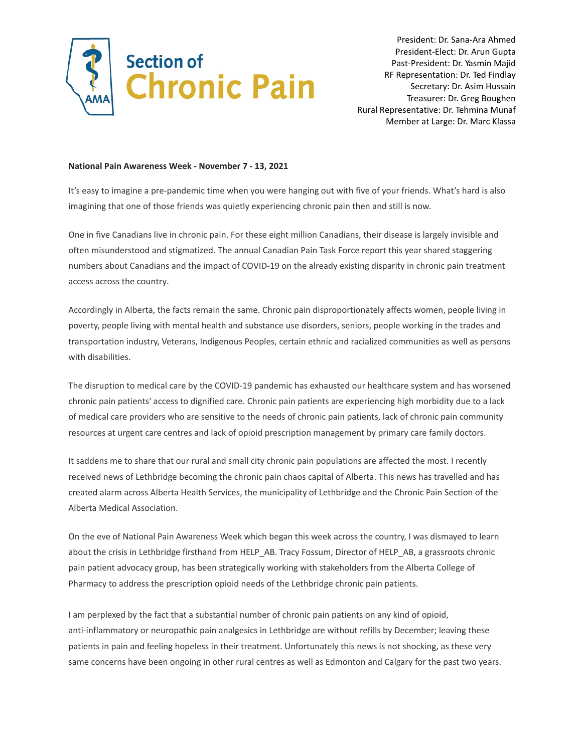

President: Dr. Sana-Ara Ahmed President-Elect: Dr. Arun Gupta Past-President: Dr. Yasmin Majid RF Representation: Dr. Ted Findlay Secretary: Dr. Asim Hussain Treasurer: Dr. Greg Boughen Rural Representative: Dr. Tehmina Munaf Member at Large: Dr. Marc Klassa

## **National Pain Awareness Week - November 7 - 13, 2021**

It's easy to imagine a pre-pandemic time when you were hanging out with five of your friends. What's hard is also imagining that one of those friends was quietly experiencing chronic pain then and still is now.

One in five Canadians live in chronic pain. For these eight million Canadians, their disease is largely invisible and often misunderstood and stigmatized. The annual Canadian Pain Task Force report this year shared staggering numbers about Canadians and the impact of COVID-19 on the already existing disparity in chronic pain treatment access across the country.

Accordingly in Alberta, the facts remain the same. Chronic pain disproportionately affects women, people living in poverty, people living with mental health and substance use disorders, seniors, people working in the trades and transportation industry, Veterans, Indigenous Peoples, certain ethnic and racialized communities as well as persons with disabilities.

The disruption to medical care by the COVID-19 pandemic has exhausted our healthcare system and has worsened chronic pain patients' access to dignified care. Chronic pain patients are experiencing high morbidity due to a lack of medical care providers who are sensitive to the needs of chronic pain patients, lack of chronic pain community resources at urgent care centres and lack of opioid prescription management by primary care family doctors.

It saddens me to share that our rural and small city chronic pain populations are affected the most. I recently received news of Lethbridge becoming the chronic pain chaos capital of Alberta. This news has travelled and has created alarm across Alberta Health Services, the municipality of Lethbridge and the Chronic Pain Section of the Alberta Medical Association.

On the eve of National Pain Awareness Week which began this week across the country, I was dismayed to learn about the crisis in Lethbridge firsthand from HELP\_AB. Tracy Fossum, Director of HELP\_AB, a grassroots chronic pain patient advocacy group, has been strategically working with stakeholders from the Alberta College of Pharmacy to address the prescription opioid needs of the Lethbridge chronic pain patients.

I am perplexed by the fact that a substantial number of chronic pain patients on any kind of opioid, anti-inflammatory or neuropathic pain analgesics in Lethbridge are without refills by December; leaving these patients in pain and feeling hopeless in their treatment. Unfortunately this news is not shocking, as these very same concerns have been ongoing in other rural centres as well as Edmonton and Calgary for the past two years.